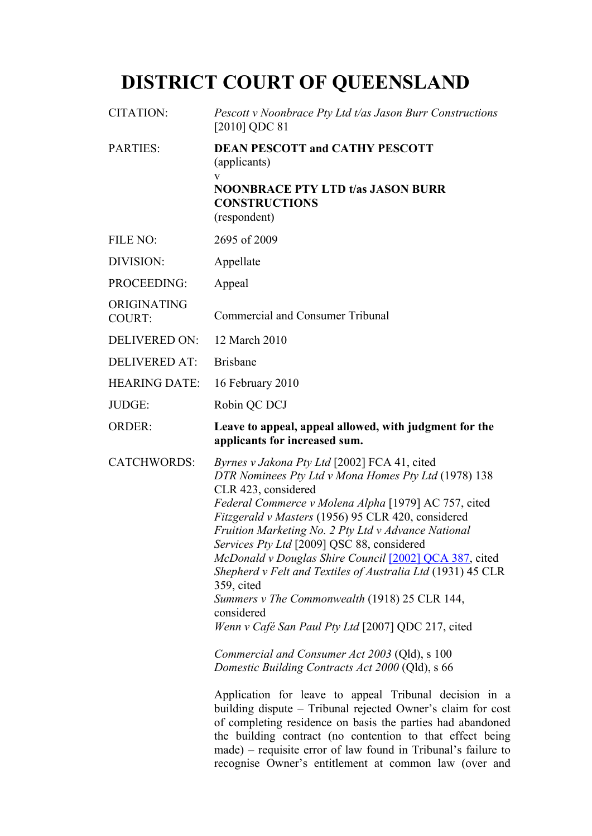# **DISTRICT COURT OF QUEENSLAND**

| <b>CITATION:</b>             | Pescott v Noonbrace Pty Ltd t/as Jason Burr Constructions<br>$[2010]$ QDC 81                                                                                                                                                                                                                                                                                                                                                                                                                                                                                                                                                                                                                                                                                                                                                                                                                                                                                                                                                                                                                  |  |
|------------------------------|-----------------------------------------------------------------------------------------------------------------------------------------------------------------------------------------------------------------------------------------------------------------------------------------------------------------------------------------------------------------------------------------------------------------------------------------------------------------------------------------------------------------------------------------------------------------------------------------------------------------------------------------------------------------------------------------------------------------------------------------------------------------------------------------------------------------------------------------------------------------------------------------------------------------------------------------------------------------------------------------------------------------------------------------------------------------------------------------------|--|
| <b>PARTIES:</b>              | <b>DEAN PESCOTT and CATHY PESCOTT</b><br>(applicants)<br>$\mathbf{V}$<br><b>NOONBRACE PTY LTD t/as JASON BURR</b><br><b>CONSTRUCTIONS</b><br>(respondent)                                                                                                                                                                                                                                                                                                                                                                                                                                                                                                                                                                                                                                                                                                                                                                                                                                                                                                                                     |  |
| FILE NO:                     | 2695 of 2009                                                                                                                                                                                                                                                                                                                                                                                                                                                                                                                                                                                                                                                                                                                                                                                                                                                                                                                                                                                                                                                                                  |  |
| DIVISION:                    | Appellate                                                                                                                                                                                                                                                                                                                                                                                                                                                                                                                                                                                                                                                                                                                                                                                                                                                                                                                                                                                                                                                                                     |  |
| PROCEEDING:                  | Appeal                                                                                                                                                                                                                                                                                                                                                                                                                                                                                                                                                                                                                                                                                                                                                                                                                                                                                                                                                                                                                                                                                        |  |
| ORIGINATING<br><b>COURT:</b> | <b>Commercial and Consumer Tribunal</b>                                                                                                                                                                                                                                                                                                                                                                                                                                                                                                                                                                                                                                                                                                                                                                                                                                                                                                                                                                                                                                                       |  |
| <b>DELIVERED ON:</b>         | 12 March 2010                                                                                                                                                                                                                                                                                                                                                                                                                                                                                                                                                                                                                                                                                                                                                                                                                                                                                                                                                                                                                                                                                 |  |
| <b>DELIVERED AT:</b>         | <b>Brisbane</b>                                                                                                                                                                                                                                                                                                                                                                                                                                                                                                                                                                                                                                                                                                                                                                                                                                                                                                                                                                                                                                                                               |  |
| <b>HEARING DATE:</b>         | 16 February 2010                                                                                                                                                                                                                                                                                                                                                                                                                                                                                                                                                                                                                                                                                                                                                                                                                                                                                                                                                                                                                                                                              |  |
| JUDGE:                       | Robin QC DCJ                                                                                                                                                                                                                                                                                                                                                                                                                                                                                                                                                                                                                                                                                                                                                                                                                                                                                                                                                                                                                                                                                  |  |
| <b>ORDER:</b>                | Leave to appeal, appeal allowed, with judgment for the<br>applicants for increased sum.                                                                                                                                                                                                                                                                                                                                                                                                                                                                                                                                                                                                                                                                                                                                                                                                                                                                                                                                                                                                       |  |
| <b>CATCHWORDS:</b>           | Byrnes v Jakona Pty Ltd [2002] FCA 41, cited<br>DTR Nominees Pty Ltd v Mona Homes Pty Ltd (1978) 138<br>CLR 423, considered<br>Federal Commerce v Molena Alpha [1979] AC 757, cited<br>Fitzgerald v Masters (1956) 95 CLR 420, considered<br>Fruition Marketing No. 2 Pty Ltd v Advance National<br>Services Pty Ltd [2009] QSC 88, considered<br>McDonald v Douglas Shire Council [2002] QCA 387, cited<br>Shepherd v Felt and Textiles of Australia Ltd (1931) 45 CLR<br>359, cited<br>Summers v The Commonwealth (1918) 25 CLR 144,<br>considered<br>Wenn v Café San Paul Pty Ltd [2007] QDC 217, cited<br>Commercial and Consumer Act 2003 (Qld), s 100<br>Domestic Building Contracts Act 2000 (Qld), s 66<br>Application for leave to appeal Tribunal decision in a<br>building dispute – Tribunal rejected Owner's claim for cost<br>of completing residence on basis the parties had abandoned<br>the building contract (no contention to that effect being<br>made) – requisite error of law found in Tribunal's failure to<br>recognise Owner's entitlement at common law (over and |  |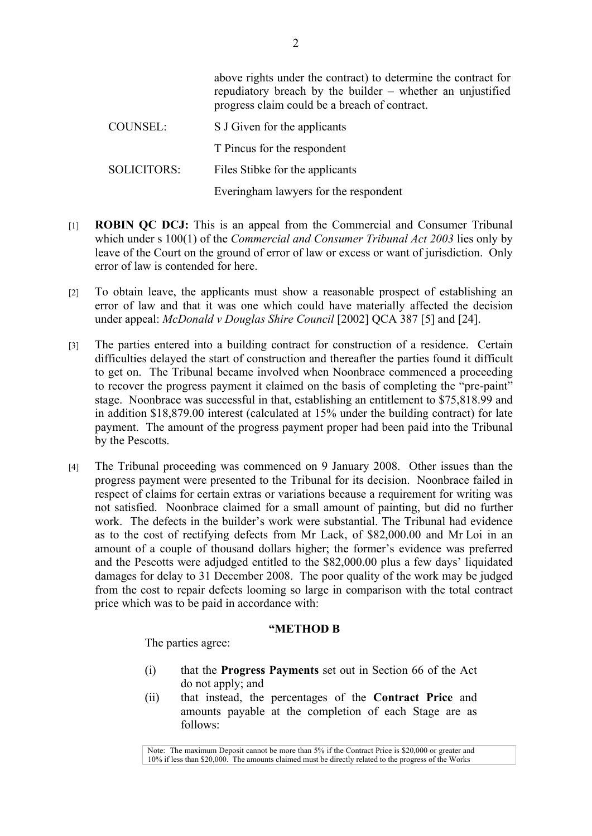|                    | above rights under the contract) to determine the contract for<br>repudiatory breach by the builder – whether an unjustified<br>progress claim could be a breach of contract. |
|--------------------|-------------------------------------------------------------------------------------------------------------------------------------------------------------------------------|
| COUNSEL:           | S J Given for the applicants                                                                                                                                                  |
|                    | T Pincus for the respondent                                                                                                                                                   |
| <b>SOLICITORS:</b> | Files Stibke for the applicants                                                                                                                                               |
|                    | Everingham lawyers for the respondent                                                                                                                                         |

- [1] **ROBIN QC DCJ:** This is an appeal from the Commercial and Consumer Tribunal which under s 100(1) of the *Commercial and Consumer Tribunal Act 2003* lies only by leave of the Court on the ground of error of law or excess or want of jurisdiction. Only error of law is contended for here.
- [2] To obtain leave, the applicants must show a reasonable prospect of establishing an error of law and that it was one which could have materially affected the decision under appeal: *McDonald v Douglas Shire Council* [2002] QCA 387 [5] and [24].
- [3] The parties entered into a building contract for construction of a residence. Certain difficulties delayed the start of construction and thereafter the parties found it difficult to get on. The Tribunal became involved when Noonbrace commenced a proceeding to recover the progress payment it claimed on the basis of completing the "pre-paint" stage. Noonbrace was successful in that, establishing an entitlement to \$75,818.99 and in addition \$18,879.00 interest (calculated at 15% under the building contract) for late payment. The amount of the progress payment proper had been paid into the Tribunal by the Pescotts.
- [4] The Tribunal proceeding was commenced on 9 January 2008. Other issues than the progress payment were presented to the Tribunal for its decision. Noonbrace failed in respect of claims for certain extras or variations because a requirement for writing was not satisfied. Noonbrace claimed for a small amount of painting, but did no further work. The defects in the builder's work were substantial. The Tribunal had evidence as to the cost of rectifying defects from Mr Lack, of \$82,000.00 and Mr Loi in an amount of a couple of thousand dollars higher; the former's evidence was preferred and the Pescotts were adjudged entitled to the \$82,000.00 plus a few days' liquidated damages for delay to 31 December 2008. The poor quality of the work may be judged from the cost to repair defects looming so large in comparison with the total contract price which was to be paid in accordance with:

#### **"METHOD B**

The parties agree:

- (i) that the **Progress Payments** set out in Section 66 of the Act do not apply; and
- (ii) that instead, the percentages of the **Contract Price** and amounts payable at the completion of each Stage are as follows:

Note: The maximum Deposit cannot be more than 5% if the Contract Price is \$20,000 or greater and 10% if less than \$20,000. The amounts claimed must be directly related to the progress of the Works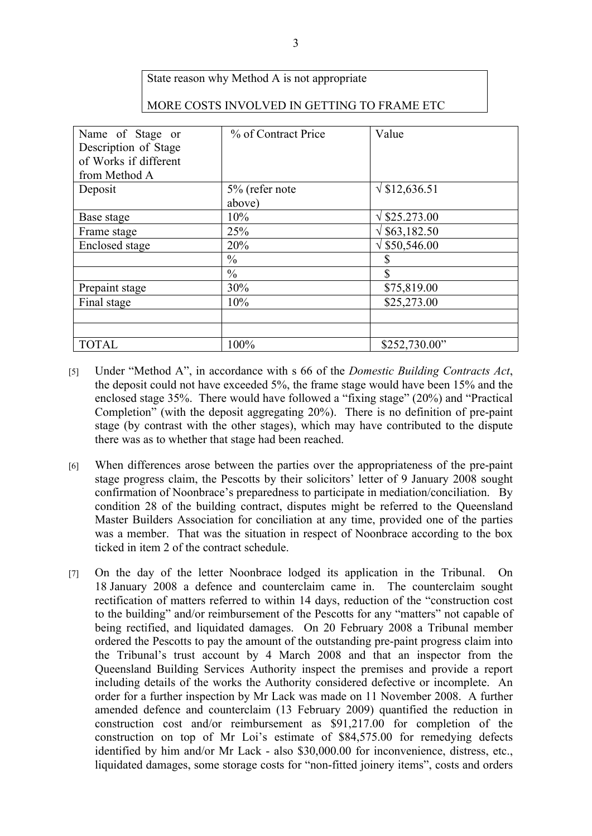## State reason why Method A is not appropriate

#### MORE COSTS INVOLVED IN GETTING TO FRAME ETC

| Name of Stage or<br>Description of Stage<br>of Works if different<br>from Method A | % of Contract Price | Value               |
|------------------------------------------------------------------------------------|---------------------|---------------------|
| Deposit                                                                            | 5% (refer note      | $\sqrt{$12,636.51}$ |
|                                                                                    | above)              |                     |
| Base stage                                                                         | 10%                 | $\sqrt{$25.273.00}$ |
| Frame stage                                                                        | 25%                 | $\sqrt{$63,182.50}$ |
| Enclosed stage                                                                     | 20%                 | $\sqrt{$50,546.00}$ |
|                                                                                    | $\frac{0}{0}$       | S                   |
|                                                                                    | $\frac{0}{0}$       | <sup>\$</sup>       |
| Prepaint stage                                                                     | 30%                 | \$75,819.00         |
| Final stage                                                                        | 10%                 | \$25,273.00         |
|                                                                                    |                     |                     |
|                                                                                    |                     |                     |
| <b>TOTAL</b>                                                                       | 100%                | \$252,730.00"       |

- [5] Under "Method A", in accordance with s 66 of the *Domestic Building Contracts Act*, the deposit could not have exceeded 5%, the frame stage would have been 15% and the enclosed stage 35%. There would have followed a "fixing stage" (20%) and "Practical Completion" (with the deposit aggregating 20%). There is no definition of pre-paint stage (by contrast with the other stages), which may have contributed to the dispute there was as to whether that stage had been reached.
- [6] When differences arose between the parties over the appropriateness of the pre-paint stage progress claim, the Pescotts by their solicitors' letter of 9 January 2008 sought confirmation of Noonbrace's preparedness to participate in mediation/conciliation. By condition 28 of the building contract, disputes might be referred to the Queensland Master Builders Association for conciliation at any time, provided one of the parties was a member. That was the situation in respect of Noonbrace according to the box ticked in item 2 of the contract schedule.
- [7] On the day of the letter Noonbrace lodged its application in the Tribunal. On 18 January 2008 a defence and counterclaim came in. The counterclaim sought rectification of matters referred to within 14 days, reduction of the "construction cost to the building" and/or reimbursement of the Pescotts for any "matters" not capable of being rectified, and liquidated damages. On 20 February 2008 a Tribunal member ordered the Pescotts to pay the amount of the outstanding pre-paint progress claim into the Tribunal's trust account by 4 March 2008 and that an inspector from the Queensland Building Services Authority inspect the premises and provide a report including details of the works the Authority considered defective or incomplete. An order for a further inspection by Mr Lack was made on 11 November 2008. A further amended defence and counterclaim (13 February 2009) quantified the reduction in construction cost and/or reimbursement as \$91,217.00 for completion of the construction on top of Mr Loi's estimate of \$84,575.00 for remedying defects identified by him and/or Mr Lack - also \$30,000.00 for inconvenience, distress, etc., liquidated damages, some storage costs for "non-fitted joinery items", costs and orders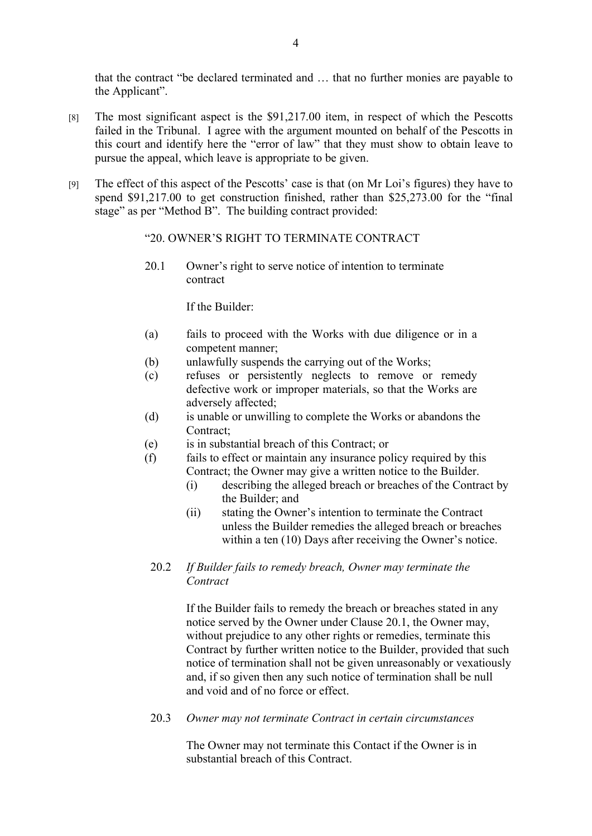that the contract "be declared terminated and … that no further monies are payable to the Applicant".

- [8] The most significant aspect is the \$91,217.00 item, in respect of which the Pescotts failed in the Tribunal. I agree with the argument mounted on behalf of the Pescotts in this court and identify here the "error of law" that they must show to obtain leave to pursue the appeal, which leave is appropriate to be given.
- [9] The effect of this aspect of the Pescotts' case is that (on Mr Loi's figures) they have to spend \$91,217.00 to get construction finished, rather than \$25,273.00 for the "final stage" as per "Method B". The building contract provided:

#### "20. OWNER'S RIGHT TO TERMINATE CONTRACT

20.1 Owner's right to serve notice of intention to terminate contract

If the Builder:

- (a) fails to proceed with the Works with due diligence or in a competent manner;
- (b) unlawfully suspends the carrying out of the Works;
- (c) refuses or persistently neglects to remove or remedy defective work or improper materials, so that the Works are adversely affected;
- (d) is unable or unwilling to complete the Works or abandons the Contract;
- (e) is in substantial breach of this Contract; or
- (f) fails to effect or maintain any insurance policy required by this Contract; the Owner may give a written notice to the Builder.
	- (i) describing the alleged breach or breaches of the Contract by the Builder; and
	- (ii) stating the Owner's intention to terminate the Contract unless the Builder remedies the alleged breach or breaches within a ten (10) Days after receiving the Owner's notice.

#### 20.2 *If Builder fails to remedy breach, Owner may terminate the Contract*

If the Builder fails to remedy the breach or breaches stated in any notice served by the Owner under Clause 20.1, the Owner may, without prejudice to any other rights or remedies, terminate this Contract by further written notice to the Builder, provided that such notice of termination shall not be given unreasonably or vexatiously and, if so given then any such notice of termination shall be null and void and of no force or effect.

20.3 *Owner may not terminate Contract in certain circumstances*

The Owner may not terminate this Contact if the Owner is in substantial breach of this Contract.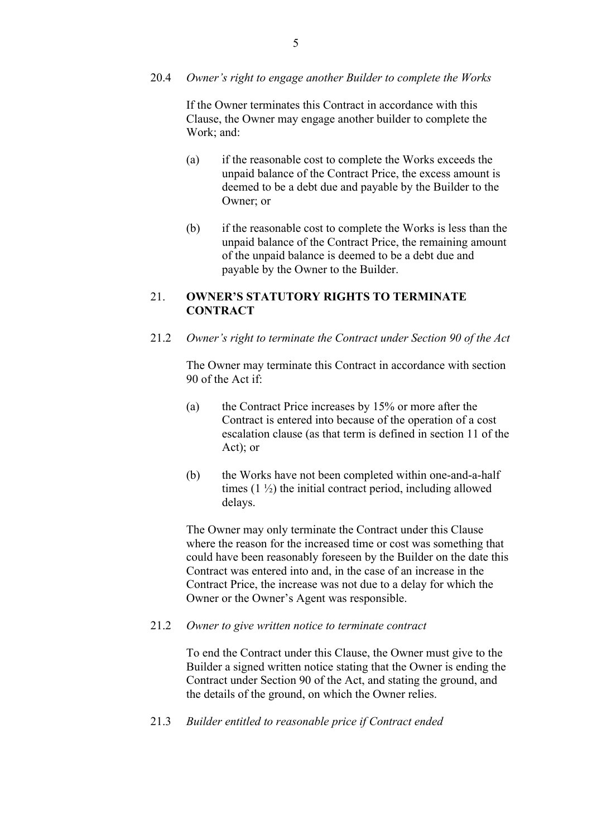#### 20.4 *Owner's right to engage another Builder to complete the Works*

If the Owner terminates this Contract in accordance with this Clause, the Owner may engage another builder to complete the Work; and:

- (a) if the reasonable cost to complete the Works exceeds the unpaid balance of the Contract Price, the excess amount is deemed to be a debt due and payable by the Builder to the Owner; or
- (b) if the reasonable cost to complete the Works is less than the unpaid balance of the Contract Price, the remaining amount of the unpaid balance is deemed to be a debt due and payable by the Owner to the Builder.

### 21. **OWNER'S STATUTORY RIGHTS TO TERMINATE CONTRACT**

21.2 *Owner's right to terminate the Contract under Section 90 of the Act*

The Owner may terminate this Contract in accordance with section 90 of the Act if:

- (a) the Contract Price increases by 15% or more after the Contract is entered into because of the operation of a cost escalation clause (as that term is defined in section 11 of the Act); or
- (b) the Works have not been completed within one-and-a-half times  $(1 \frac{1}{2})$  the initial contract period, including allowed delays.

The Owner may only terminate the Contract under this Clause where the reason for the increased time or cost was something that could have been reasonably foreseen by the Builder on the date this Contract was entered into and, in the case of an increase in the Contract Price, the increase was not due to a delay for which the Owner or the Owner's Agent was responsible.

#### 21.2 *Owner to give written notice to terminate contract*

To end the Contract under this Clause, the Owner must give to the Builder a signed written notice stating that the Owner is ending the Contract under Section 90 of the Act, and stating the ground, and the details of the ground, on which the Owner relies.

21.3 *Builder entitled to reasonable price if Contract ended*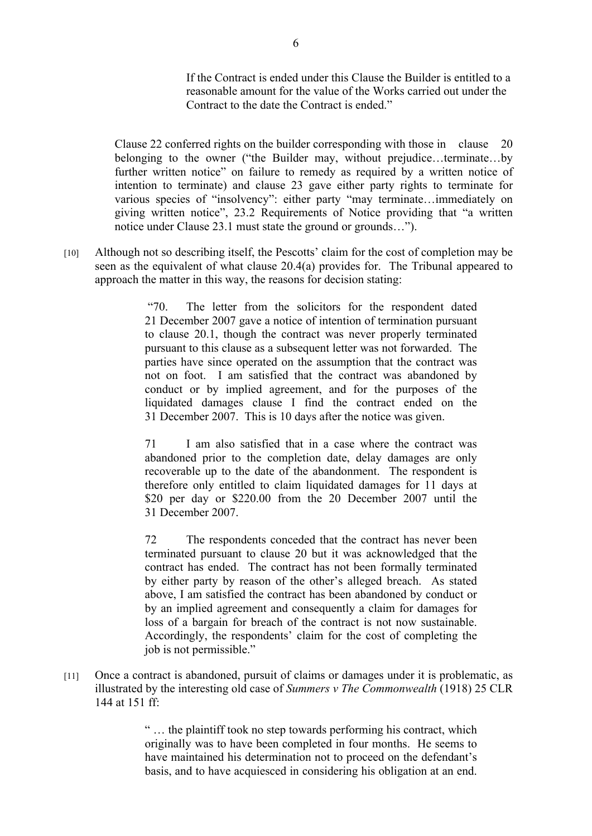If the Contract is ended under this Clause the Builder is entitled to a reasonable amount for the value of the Works carried out under the Contract to the date the Contract is ended."

Clause 22 conferred rights on the builder corresponding with those in clause 20 belonging to the owner ("the Builder may, without prejudice…terminate…by further written notice" on failure to remedy as required by a written notice of intention to terminate) and clause 23 gave either party rights to terminate for various species of "insolvency": either party "may terminate…immediately on giving written notice", 23.2 Requirements of Notice providing that "a written notice under Clause 23.1 must state the ground or grounds…").

[10] Although not so describing itself, the Pescotts' claim for the cost of completion may be seen as the equivalent of what clause 20.4(a) provides for. The Tribunal appeared to approach the matter in this way, the reasons for decision stating:

> "70. The letter from the solicitors for the respondent dated 21 December 2007 gave a notice of intention of termination pursuant to clause 20.1, though the contract was never properly terminated pursuant to this clause as a subsequent letter was not forwarded. The parties have since operated on the assumption that the contract was not on foot. I am satisfied that the contract was abandoned by conduct or by implied agreement, and for the purposes of the liquidated damages clause I find the contract ended on the 31 December 2007. This is 10 days after the notice was given.

> 71 I am also satisfied that in a case where the contract was abandoned prior to the completion date, delay damages are only recoverable up to the date of the abandonment. The respondent is therefore only entitled to claim liquidated damages for 11 days at \$20 per day or \$220.00 from the 20 December 2007 until the 31 December 2007.

> 72 The respondents conceded that the contract has never been terminated pursuant to clause 20 but it was acknowledged that the contract has ended. The contract has not been formally terminated by either party by reason of the other's alleged breach. As stated above, I am satisfied the contract has been abandoned by conduct or by an implied agreement and consequently a claim for damages for loss of a bargain for breach of the contract is not now sustainable. Accordingly, the respondents' claim for the cost of completing the job is not permissible."

[11] Once a contract is abandoned, pursuit of claims or damages under it is problematic, as illustrated by the interesting old case of *Summers v The Commonwealth* (1918) 25 CLR 144 at 151 ff:

> " … the plaintiff took no step towards performing his contract, which originally was to have been completed in four months. He seems to have maintained his determination not to proceed on the defendant's basis, and to have acquiesced in considering his obligation at an end.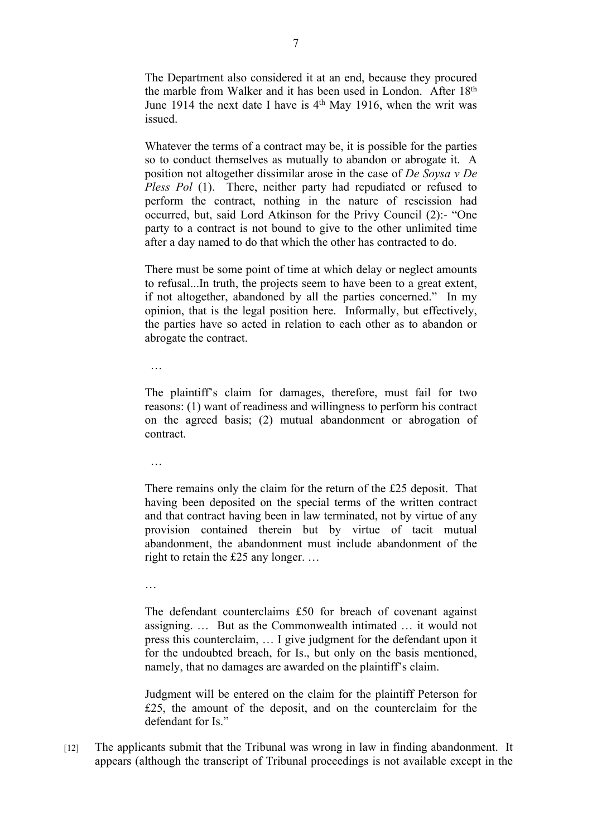The Department also considered it at an end, because they procured the marble from Walker and it has been used in London. After 18th June 1914 the next date I have is  $4<sup>th</sup>$  May 1916, when the writ was issued.

Whatever the terms of a contract may be, it is possible for the parties so to conduct themselves as mutually to abandon or abrogate it. A position not altogether dissimilar arose in the case of *De Soysa v De Pless Pol* (1). There, neither party had repudiated or refused to perform the contract, nothing in the nature of rescission had occurred, but, said Lord Atkinson for the Privy Council (2):- "One party to a contract is not bound to give to the other unlimited time after a day named to do that which the other has contracted to do.

There must be some point of time at which delay or neglect amounts to refusal...In truth, the projects seem to have been to a great extent, if not altogether, abandoned by all the parties concerned." In my opinion, that is the legal position here. Informally, but effectively, the parties have so acted in relation to each other as to abandon or abrogate the contract.

…

The plaintiff's claim for damages, therefore, must fail for two reasons: (1) want of readiness and willingness to perform his contract on the agreed basis; (2) mutual abandonment or abrogation of contract.

…

There remains only the claim for the return of the £25 deposit. That having been deposited on the special terms of the written contract and that contract having been in law terminated, not by virtue of any provision contained therein but by virtue of tacit mutual abandonment, the abandonment must include abandonment of the right to retain the £25 any longer. …

…

The defendant counterclaims £50 for breach of covenant against assigning. … But as the Commonwealth intimated … it would not press this counterclaim, … I give judgment for the defendant upon it for the undoubted breach, for Is., but only on the basis mentioned, namely, that no damages are awarded on the plaintiff's claim.

Judgment will be entered on the claim for the plaintiff Peterson for £25, the amount of the deposit, and on the counterclaim for the defendant for Is"

[12] The applicants submit that the Tribunal was wrong in law in finding abandonment. It appears (although the transcript of Tribunal proceedings is not available except in the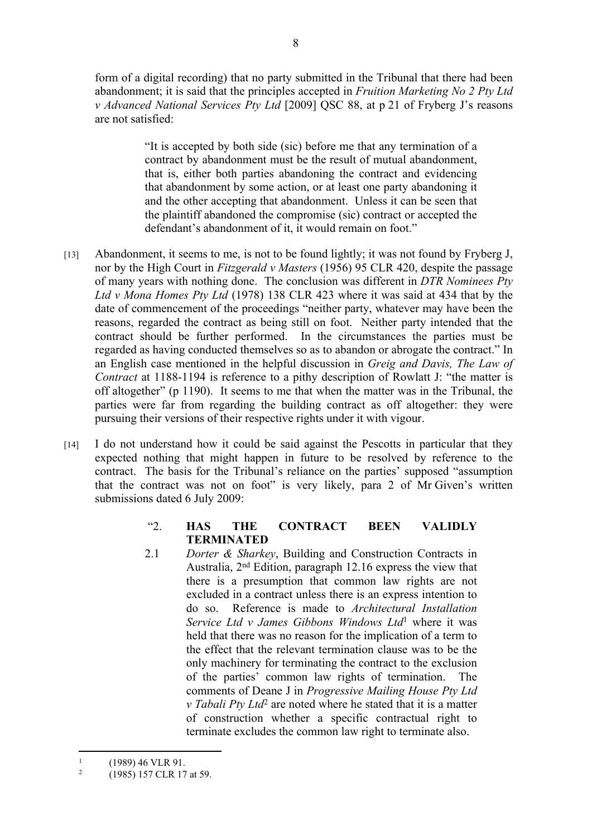form of a digital recording) that no party submitted in the Tribunal that there had been abandonment; it is said that the principles accepted in *Fruition Marketing No 2 Pty Ltd v Advanced National Services Pty Ltd* [2009] QSC 88, at p 21 of Fryberg J's reasons are not satisfied:

> "It is accepted by both side (sic) before me that any termination of a contract by abandonment must be the result of mutual abandonment, that is, either both parties abandoning the contract and evidencing that abandonment by some action, or at least one party abandoning it and the other accepting that abandonment. Unless it can be seen that the plaintiff abandoned the compromise (sic) contract or accepted the defendant's abandonment of it, it would remain on foot."

- [13] Abandonment, it seems to me, is not to be found lightly; it was not found by Fryberg J, nor by the High Court in *Fitzgerald v Masters* (1956) 95 CLR 420, despite the passage of many years with nothing done. The conclusion was different in *DTR Nominees Pty Ltd v Mona Homes Pty Ltd* (1978) 138 CLR 423 where it was said at 434 that by the date of commencement of the proceedings "neither party, whatever may have been the reasons, regarded the contract as being still on foot. Neither party intended that the contract should be further performed. In the circumstances the parties must be regarded as having conducted themselves so as to abandon or abrogate the contract." In an English case mentioned in the helpful discussion in *Greig and Davis, The Law of Contract* at 1188-1194 is reference to a pithy description of Rowlatt J: "the matter is off altogether" (p 1190). It seems to me that when the matter was in the Tribunal, the parties were far from regarding the building contract as off altogether: they were pursuing their versions of their respective rights under it with vigour.
- [14] I do not understand how it could be said against the Pescotts in particular that they expected nothing that might happen in future to be resolved by reference to the contract. The basis for the Tribunal's reliance on the parties' supposed "assumption that the contract was not on foot" is very likely, para 2 of Mr Given's written submissions dated 6 July 2009:
	- "2. **HAS THE CONTRACT BEEN VALIDLY TERMINATED**
	- 2.1 *Dorter & Sharkey*, Building and Construction Contracts in Australia, 2nd Edition, paragraph 12.16 express the view that there is a presumption that common law rights are not excluded in a contract unless there is an express intention to do so. Reference is made to *Architectural Installation Service Ltd v James Gibbons Windows Ltd*<sup>1</sup> where it was held that there was no reason for the implication of a term to the effect that the relevant termination clause was to be the only machinery for terminating the contract to the exclusion of the parties' common law rights of termination. The comments of Deane J in *Progressive Mailing House Pty Ltd v Tabali Pty Ltd*<sup>2</sup> are noted where he stated that it is a matter of construction whether a specific contractual right to terminate excludes the common law right to terminate also.

<sup>1</sup> (1989) 46 VLR 91.

<sup>2</sup> (1985) 157 CLR 17 at 59.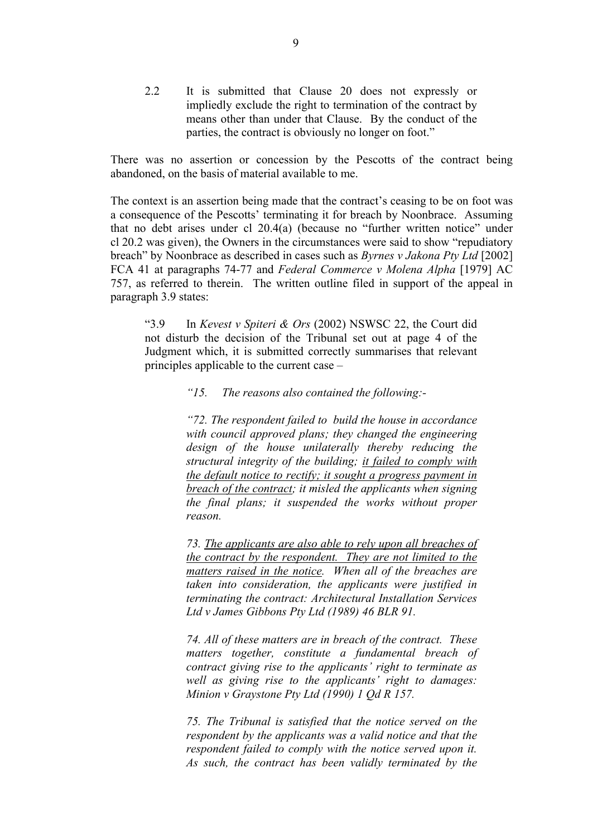2.2 It is submitted that Clause 20 does not expressly or impliedly exclude the right to termination of the contract by means other than under that Clause. By the conduct of the parties, the contract is obviously no longer on foot."

There was no assertion or concession by the Pescotts of the contract being abandoned, on the basis of material available to me.

The context is an assertion being made that the contract's ceasing to be on foot was a consequence of the Pescotts' terminating it for breach by Noonbrace. Assuming that no debt arises under cl 20.4(a) (because no "further written notice" under cl 20.2 was given), the Owners in the circumstances were said to show "repudiatory breach" by Noonbrace as described in cases such as *Byrnes v Jakona Pty Ltd* [2002] FCA 41 at paragraphs 74-77 and *Federal Commerce v Molena Alpha* [1979] AC 757, as referred to therein. The written outline filed in support of the appeal in paragraph 3.9 states:

"3.9 In *Kevest v Spiteri & Ors* (2002) NSWSC 22, the Court did not disturb the decision of the Tribunal set out at page 4 of the Judgment which, it is submitted correctly summarises that relevant principles applicable to the current case –

#### *"15. The reasons also contained the following:-*

*"72. The respondent failed to build the house in accordance with council approved plans; they changed the engineering design of the house unilaterally thereby reducing the structural integrity of the building; it failed to comply with the default notice to rectify; it sought a progress payment in breach of the contract; it misled the applicants when signing the final plans; it suspended the works without proper reason.*

*73. The applicants are also able to rely upon all breaches of the contract by the respondent. They are not limited to the matters raised in the notice. When all of the breaches are taken into consideration, the applicants were justified in terminating the contract: Architectural Installation Services Ltd v James Gibbons Pty Ltd (1989) 46 BLR 91.*

*74. All of these matters are in breach of the contract. These matters together, constitute a fundamental breach of contract giving rise to the applicants' right to terminate as well as giving rise to the applicants' right to damages: Minion v Graystone Pty Ltd (1990) 1 Qd R 157.*

*75. The Tribunal is satisfied that the notice served on the respondent by the applicants was a valid notice and that the respondent failed to comply with the notice served upon it. As such, the contract has been validly terminated by the*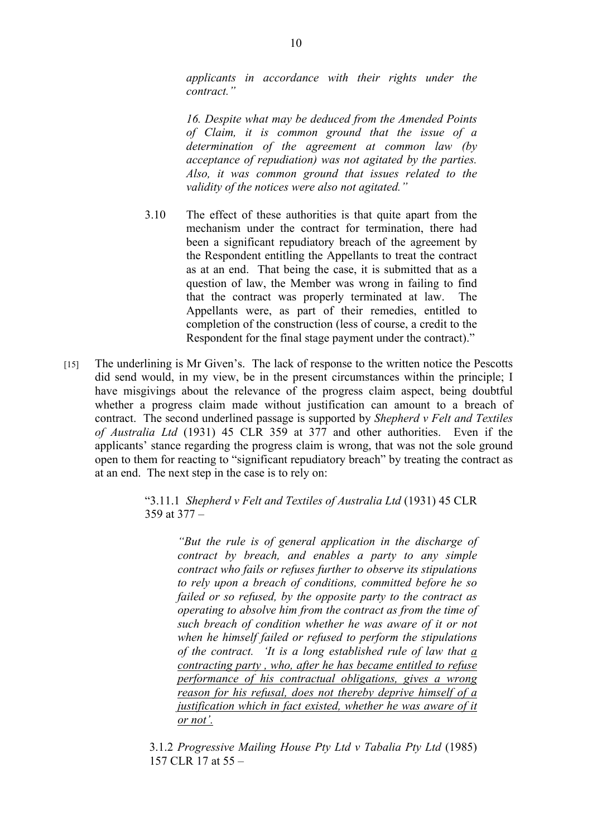*applicants in accordance with their rights under the contract."*

*16. Despite what may be deduced from the Amended Points of Claim, it is common ground that the issue of a determination of the agreement at common law (by acceptance of repudiation) was not agitated by the parties. Also, it was common ground that issues related to the validity of the notices were also not agitated."*

- 3.10 The effect of these authorities is that quite apart from the mechanism under the contract for termination, there had been a significant repudiatory breach of the agreement by the Respondent entitling the Appellants to treat the contract as at an end. That being the case, it is submitted that as a question of law, the Member was wrong in failing to find that the contract was properly terminated at law. The Appellants were, as part of their remedies, entitled to completion of the construction (less of course, a credit to the Respondent for the final stage payment under the contract)."
- [15] The underlining is Mr Given's. The lack of response to the written notice the Pescotts did send would, in my view, be in the present circumstances within the principle; I have misgivings about the relevance of the progress claim aspect, being doubtful whether a progress claim made without justification can amount to a breach of contract. The second underlined passage is supported by *Shepherd v Felt and Textiles of Australia Ltd* (1931) 45 CLR 359 at 377 and other authorities. Even if the applicants' stance regarding the progress claim is wrong, that was not the sole ground open to them for reacting to "significant repudiatory breach" by treating the contract as at an end. The next step in the case is to rely on:

"3.11.1 *Shepherd v Felt and Textiles of Australia Ltd* (1931) 45 CLR 359 at 377 –

*"But the rule is of general application in the discharge of contract by breach, and enables a party to any simple contract who fails or refuses further to observe its stipulations to rely upon a breach of conditions, committed before he so failed or so refused, by the opposite party to the contract as operating to absolve him from the contract as from the time of such breach of condition whether he was aware of it or not when he himself failed or refused to perform the stipulations of the contract. 'It is a long established rule of law that a contracting party , who, after he has became entitled to refuse performance of his contractual obligations, gives a wrong reason for his refusal, does not thereby deprive himself of a justification which in fact existed, whether he was aware of it or not'.*

3.1.2 *Progressive Mailing House Pty Ltd v Tabalia Pty Ltd* (1985) 157 CLR 17 at 55 –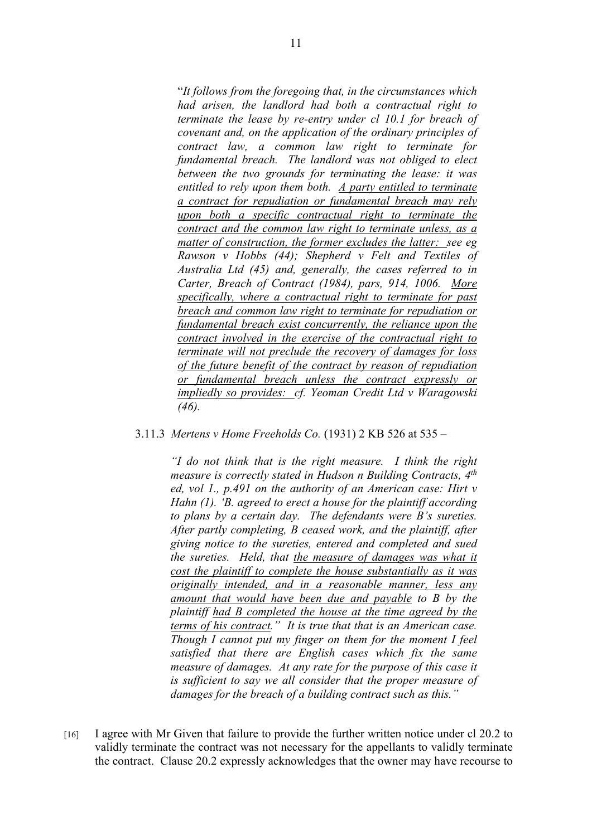"*It follows from the foregoing that, in the circumstances which had arisen, the landlord had both a contractual right to terminate the lease by re-entry under cl 10.1 for breach of covenant and, on the application of the ordinary principles of contract law, a common law right to terminate for fundamental breach. The landlord was not obliged to elect between the two grounds for terminating the lease: it was entitled to rely upon them both. A party entitled to terminate a contract for repudiation or fundamental breach may rely upon both a specific contractual right to terminate the contract and the common law right to terminate unless, as a matter of construction, the former excludes the latter: see eg Rawson v Hobbs (44); Shepherd v Felt and Textiles of Australia Ltd (45) and, generally, the cases referred to in Carter, Breach of Contract (1984), pars, 914, 1006. More specifically, where a contractual right to terminate for past breach and common law right to terminate for repudiation or fundamental breach exist concurrently, the reliance upon the contract involved in the exercise of the contractual right to terminate will not preclude the recovery of damages for loss of the future benefit of the contract by reason of repudiation or fundamental breach unless the contract expressly or impliedly so provides: cf. Yeoman Credit Ltd v Waragowski (46).*

#### 3.11.3 *Mertens v Home Freeholds Co.* (1931) 2 KB 526 at 535 –

*"I do not think that is the right measure. I think the right measure is correctly stated in Hudson n Building Contracts, 4th ed, vol 1., p.491 on the authority of an American case: Hirt v Hahn (1). 'B. agreed to erect a house for the plaintiff according to plans by a certain day. The defendants were B's sureties. After partly completing, B ceased work, and the plaintiff, after giving notice to the sureties, entered and completed and sued the sureties. Held, that the measure of damages was what it cost the plaintiff to complete the house substantially as it was originally intended, and in a reasonable manner, less any amount that would have been due and payable to B by the plaintiff had B completed the house at the time agreed by the terms of his contract." It is true that that is an American case. Though I cannot put my finger on them for the moment I feel satisfied that there are English cases which fix the same measure of damages. At any rate for the purpose of this case it is sufficient to say we all consider that the proper measure of damages for the breach of a building contract such as this."*

[16] I agree with Mr Given that failure to provide the further written notice under cl 20.2 to validly terminate the contract was not necessary for the appellants to validly terminate the contract. Clause 20.2 expressly acknowledges that the owner may have recourse to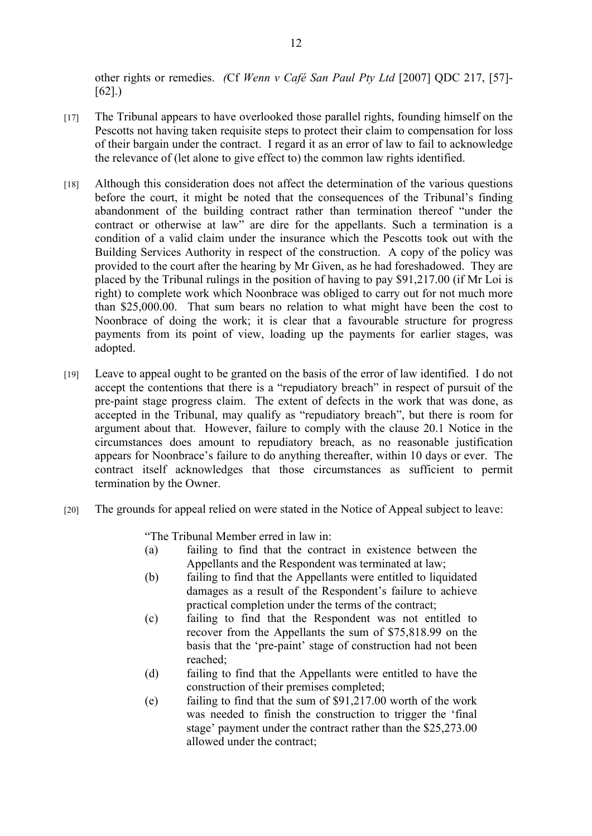other rights or remedies. *(*Cf *Wenn v Café San Paul Pty Ltd* [2007] QDC 217, [57]- [62].)

- [17] The Tribunal appears to have overlooked those parallel rights, founding himself on the Pescotts not having taken requisite steps to protect their claim to compensation for loss of their bargain under the contract. I regard it as an error of law to fail to acknowledge the relevance of (let alone to give effect to) the common law rights identified.
- [18] Although this consideration does not affect the determination of the various questions before the court, it might be noted that the consequences of the Tribunal's finding abandonment of the building contract rather than termination thereof "under the contract or otherwise at law" are dire for the appellants. Such a termination is a condition of a valid claim under the insurance which the Pescotts took out with the Building Services Authority in respect of the construction. A copy of the policy was provided to the court after the hearing by Mr Given, as he had foreshadowed. They are placed by the Tribunal rulings in the position of having to pay \$91,217.00 (if Mr Loi is right) to complete work which Noonbrace was obliged to carry out for not much more than \$25,000.00. That sum bears no relation to what might have been the cost to Noonbrace of doing the work; it is clear that a favourable structure for progress payments from its point of view, loading up the payments for earlier stages, was adopted.
- [19] Leave to appeal ought to be granted on the basis of the error of law identified. I do not accept the contentions that there is a "repudiatory breach" in respect of pursuit of the pre-paint stage progress claim. The extent of defects in the work that was done, as accepted in the Tribunal, may qualify as "repudiatory breach", but there is room for argument about that. However, failure to comply with the clause 20.1 Notice in the circumstances does amount to repudiatory breach, as no reasonable justification appears for Noonbrace's failure to do anything thereafter, within 10 days or ever. The contract itself acknowledges that those circumstances as sufficient to permit termination by the Owner.
- [20] The grounds for appeal relied on were stated in the Notice of Appeal subject to leave:

"The Tribunal Member erred in law in:

- (a) failing to find that the contract in existence between the Appellants and the Respondent was terminated at law;
- (b) failing to find that the Appellants were entitled to liquidated damages as a result of the Respondent's failure to achieve practical completion under the terms of the contract;
- (c) failing to find that the Respondent was not entitled to recover from the Appellants the sum of \$75,818.99 on the basis that the 'pre-paint' stage of construction had not been reached;
- (d) failing to find that the Appellants were entitled to have the construction of their premises completed;
- (e) failing to find that the sum of \$91,217.00 worth of the work was needed to finish the construction to trigger the 'final stage' payment under the contract rather than the \$25,273.00 allowed under the contract;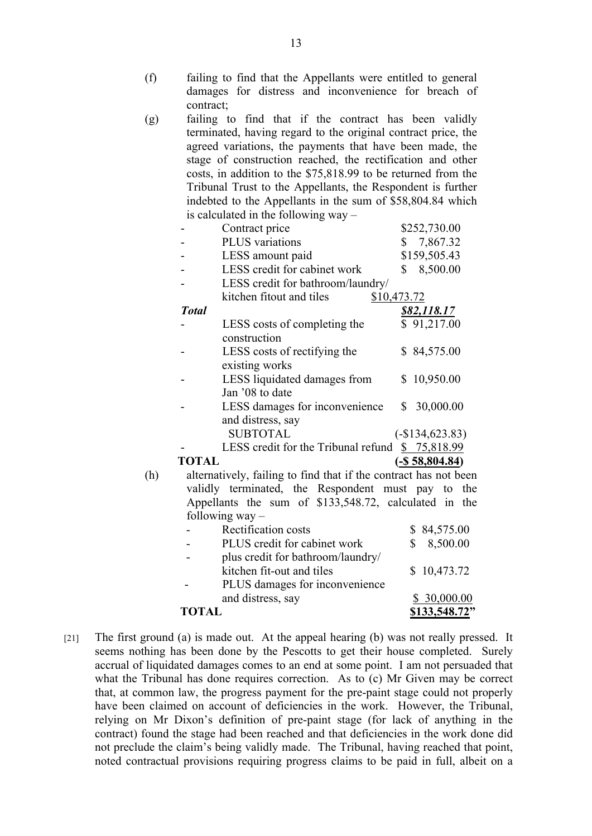- (f) failing to find that the Appellants were entitled to general damages for distress and inconvenience for breach of contract;
- (g) failing to find that if the contract has been validly terminated, having regard to the original contract price, the agreed variations, the payments that have been made, the stage of construction reached, the rectification and other costs, in addition to the \$75,818.99 to be returned from the Tribunal Trust to the Appellants, the Respondent is further indebted to the Appellants in the sum of \$58,804.84 which is calculated in the following way –

|     |              | $\frac{10}{10}$ cancellated in the TOHO $\frac{10}{10}$ with     |                    |
|-----|--------------|------------------------------------------------------------------|--------------------|
|     |              | Contract price                                                   | \$252,730.00       |
|     |              | PLUS variations                                                  | \$7,867.32         |
|     |              | LESS amount paid                                                 | \$159,505.43       |
|     |              | LESS credit for cabinet work                                     | \$8,500.00         |
|     |              | LESS credit for bathroom/laundry/                                |                    |
|     |              | kitchen fitout and tiles                                         | \$10,473.72        |
|     | <b>Total</b> |                                                                  | <u>\$82,118.17</u> |
|     |              | LESS costs of completing the<br>construction                     | \$91,217.00        |
|     |              | LESS costs of rectifying the<br>existing works                   | \$84,575.00        |
|     |              | LESS liquidated damages from<br>Jan '08 to date                  | \$10,950.00        |
|     |              | LESS damages for inconvenience<br>and distress, say              | \$30,000.00        |
|     |              | <b>SUBTOTAL</b>                                                  | $(-\$134,623.83)$  |
|     |              | LESS credit for the Tribunal refund                              | \$75,818.99        |
|     | <b>TOTAL</b> |                                                                  | $(-\$ 58,804.84)$  |
| (h) |              | alternatively, failing to find that if the contract has not been |                    |
|     |              | validly terminated, the Respondent must pay to the               |                    |
|     |              | Appellants the sum of \$133,548.72, calculated in the            |                    |
|     |              | following $way -$                                                |                    |
|     |              | Rectification costs                                              | \$84,575.00        |
|     |              | PLUS credit for cabinet work                                     | \$<br>8,500.00     |
|     |              | plus credit for bathroom/laundry/                                |                    |
|     |              | kitchen fit-out and tiles                                        | 10,473.72<br>\$    |
|     |              | PLUS damages for inconvenience                                   |                    |
|     |              | and distress, say                                                | \$30,000.00        |
|     | <b>TOTAL</b> |                                                                  | \$133,548.72"      |

[21] The first ground (a) is made out. At the appeal hearing (b) was not really pressed. It seems nothing has been done by the Pescotts to get their house completed. Surely accrual of liquidated damages comes to an end at some point. I am not persuaded that what the Tribunal has done requires correction. As to (c) Mr Given may be correct that, at common law, the progress payment for the pre-paint stage could not properly have been claimed on account of deficiencies in the work. However, the Tribunal, relying on Mr Dixon's definition of pre-paint stage (for lack of anything in the contract) found the stage had been reached and that deficiencies in the work done did not preclude the claim's being validly made. The Tribunal, having reached that point, noted contractual provisions requiring progress claims to be paid in full, albeit on a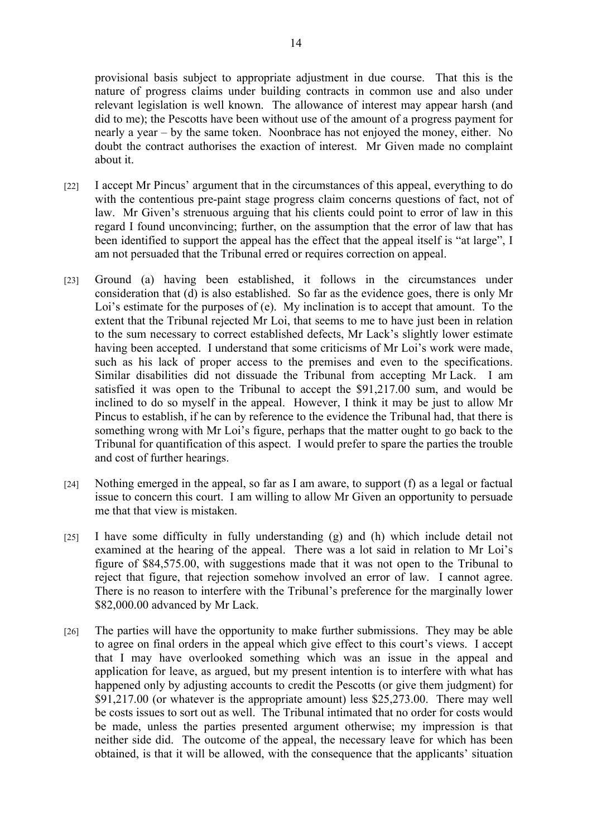provisional basis subject to appropriate adjustment in due course. That this is the nature of progress claims under building contracts in common use and also under relevant legislation is well known. The allowance of interest may appear harsh (and did to me); the Pescotts have been without use of the amount of a progress payment for nearly a year – by the same token. Noonbrace has not enjoyed the money, either. No doubt the contract authorises the exaction of interest. Mr Given made no complaint about it.

- [22] I accept Mr Pincus' argument that in the circumstances of this appeal, everything to do with the contentious pre-paint stage progress claim concerns questions of fact, not of law. Mr Given's strenuous arguing that his clients could point to error of law in this regard I found unconvincing; further, on the assumption that the error of law that has been identified to support the appeal has the effect that the appeal itself is "at large", I am not persuaded that the Tribunal erred or requires correction on appeal.
- [23] Ground (a) having been established, it follows in the circumstances under consideration that (d) is also established. So far as the evidence goes, there is only Mr Loi's estimate for the purposes of (e). My inclination is to accept that amount. To the extent that the Tribunal rejected Mr Loi, that seems to me to have just been in relation to the sum necessary to correct established defects, Mr Lack's slightly lower estimate having been accepted. I understand that some criticisms of Mr Loi's work were made, such as his lack of proper access to the premises and even to the specifications. Similar disabilities did not dissuade the Tribunal from accepting Mr Lack. I am satisfied it was open to the Tribunal to accept the \$91,217.00 sum, and would be inclined to do so myself in the appeal. However, I think it may be just to allow Mr Pincus to establish, if he can by reference to the evidence the Tribunal had, that there is something wrong with Mr Loi's figure, perhaps that the matter ought to go back to the Tribunal for quantification of this aspect. I would prefer to spare the parties the trouble and cost of further hearings.
- [24] Nothing emerged in the appeal, so far as I am aware, to support (f) as a legal or factual issue to concern this court. I am willing to allow Mr Given an opportunity to persuade me that that view is mistaken.
- [25] I have some difficulty in fully understanding (g) and (h) which include detail not examined at the hearing of the appeal. There was a lot said in relation to Mr Loi's figure of \$84,575.00, with suggestions made that it was not open to the Tribunal to reject that figure, that rejection somehow involved an error of law. I cannot agree. There is no reason to interfere with the Tribunal's preference for the marginally lower \$82,000.00 advanced by Mr Lack.
- [26] The parties will have the opportunity to make further submissions. They may be able to agree on final orders in the appeal which give effect to this court's views. I accept that I may have overlooked something which was an issue in the appeal and application for leave, as argued, but my present intention is to interfere with what has happened only by adjusting accounts to credit the Pescotts (or give them judgment) for \$91,217.00 (or whatever is the appropriate amount) less \$25,273.00. There may well be costs issues to sort out as well. The Tribunal intimated that no order for costs would be made, unless the parties presented argument otherwise; my impression is that neither side did. The outcome of the appeal, the necessary leave for which has been obtained, is that it will be allowed, with the consequence that the applicants' situation